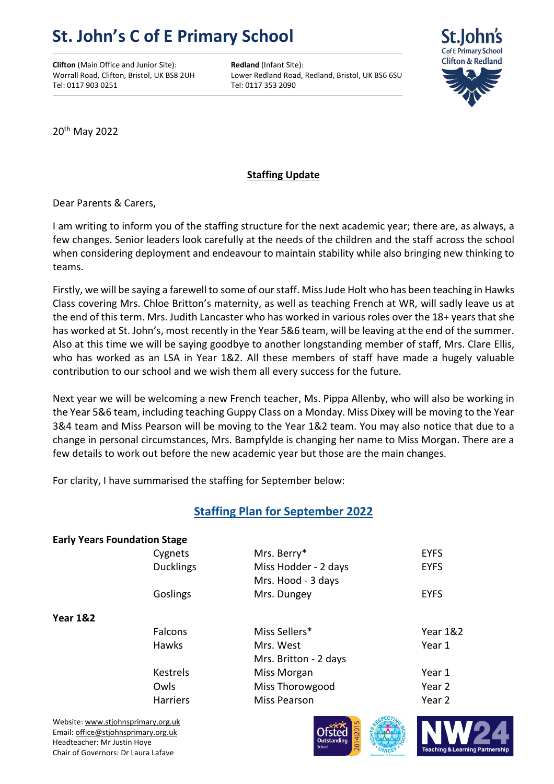## **St. John's C of E Primary School**

**Clifton** (Main Office and Junior Site): **Redland** (Infant Site): Tel: 0117 903 0251 Tel: 0117 353 2090

Worrall Road, Clifton, Bristol, UK BS8 2UH Lower Redland Road, Redland, Bristol, UK BS6 6SU



20<sup>th</sup> May 2022

## **Staffing Update**

Dear Parents & Carers,

I am writing to inform you of the staffing structure for the next academic year; there are, as always, a few changes. Senior leaders look carefully at the needs of the children and the staff across the school when considering deployment and endeavour to maintain stability while also bringing new thinking to teams.

Firstly, we will be saying a farewell to some of our staff. Miss Jude Holt who has been teaching in Hawks Class covering Mrs. Chloe Britton's maternity, as well as teaching French at WR, will sadly leave us at the end of this term. Mrs. Judith Lancaster who has worked in various roles over the 18+ years that she has worked at St. John's, most recently in the Year 5&6 team, will be leaving at the end of the summer. Also at this time we will be saying goodbye to another longstanding member of staff, Mrs. Clare Ellis, who has worked as an LSA in Year 1&2. All these members of staff have made a hugely valuable contribution to our school and we wish them all every success for the future.

Next year we will be welcoming a new French teacher, Ms. Pippa Allenby, who will also be working in the Year 5&6 team, including teaching Guppy Class on a Monday. Miss Dixey will be moving to the Year 3&4 team and Miss Pearson will be moving to the Year 1&2 team. You may also notice that due to a change in personal circumstances, Mrs. Bampfylde is changing her name to Miss Morgan. There are a few details to work out before the new academic year but those are the main changes.

For clarity, I have summarised the staffing for September below:

## **Staffing Plan for September 2022**

| <b>Early Years Foundation Stage</b> |                  |                       |             |
|-------------------------------------|------------------|-----------------------|-------------|
|                                     | Cygnets          | Mrs. Berry*           | <b>EYFS</b> |
|                                     | <b>Ducklings</b> | Miss Hodder - 2 days  | <b>EYFS</b> |
|                                     |                  | Mrs. Hood - 3 days    |             |
|                                     | Goslings         | Mrs. Dungey           | <b>EYFS</b> |
| <b>Year 1&amp;2</b>                 |                  |                       |             |
|                                     | <b>Falcons</b>   | Miss Sellers*         | Year $182$  |
|                                     | <b>Hawks</b>     | Mrs. West             | Year 1      |
|                                     |                  | Mrs. Britton - 2 days |             |
|                                     | <b>Kestrels</b>  | Miss Morgan           | Year 1      |
|                                     | Owls             | Miss Thorowgood       | Year 2      |
|                                     | <b>Harriers</b>  | Miss Pearson          | Year 2      |
|                                     |                  |                       |             |

Website[: www.stjohnsprimary.org.uk](http://www.stjohnsprimary.org.uk/) Email[: office@stjohnsprimary.org.uk](mailto:office@stjohnsprimary.org.uk) Headteacher: Mr Justin Hoye Chair of Governors: Dr Laura Lafave